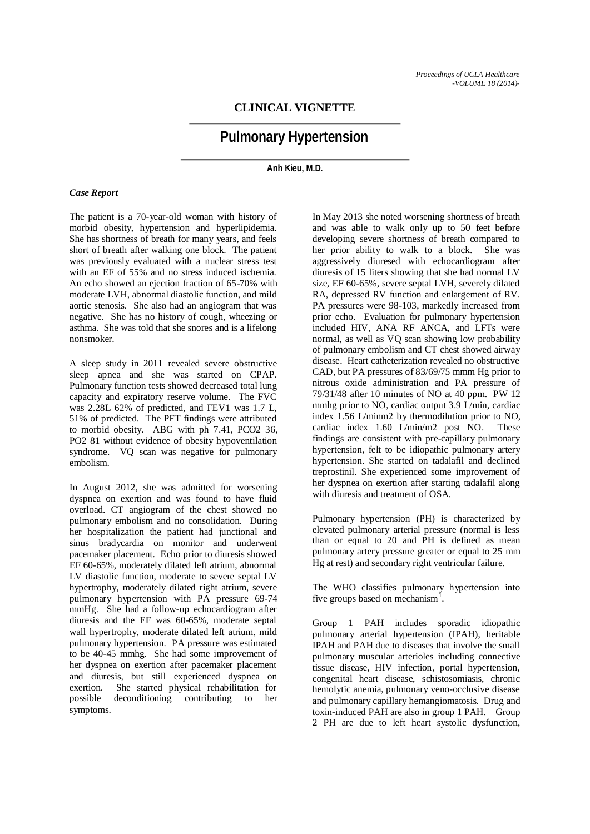# **CLINICAL VIGNETTE**

# **Pulmonary Hypertension**

**Anh Kieu, M.D.**

#### *Case Report*

The patient is a 70-year-old woman with history of morbid obesity, hypertension and hyperlipidemia. She has shortness of breath for many years, and feels short of breath after walking one block. The patient was previously evaluated with a nuclear stress test with an EF of 55% and no stress induced ischemia. An echo showed an ejection fraction of 65-70% with moderate LVH, abnormal diastolic function, and mild aortic stenosis. She also had an angiogram that was negative. She has no history of cough, wheezing or asthma. She was told that she snores and is a lifelong nonsmoker.

A sleep study in 2011 revealed severe obstructive sleep apnea and she was started on CPAP. Pulmonary function tests showed decreased total lung capacity and expiratory reserve volume. The FVC was 2.28L 62% of predicted, and FEV1 was 1.7 L. 51% of predicted. The PFT findings were attributed to morbid obesity. ABG with ph 7.41, PCO2 36, PO2 81 without evidence of obesity hypoventilation syndrome. VQ scan was negative for pulmonary embolism.

In August 2012, she was admitted for worsening dyspnea on exertion and was found to have fluid overload. CT angiogram of the chest showed no pulmonary embolism and no consolidation. During her hospitalization the patient had junctional and sinus bradycardia on monitor and underwent pacemaker placement. Echo prior to diuresis showed EF 60-65%, moderately dilated left atrium, abnormal LV diastolic function, moderate to severe septal LV hypertrophy, moderately dilated right atrium, severe pulmonary hypertension with PA pressure 69-74 mmHg. She had a follow-up echocardiogram after diuresis and the EF was 60-65%, moderate septal wall hypertrophy, moderate dilated left atrium, mild pulmonary hypertension. PA pressure was estimated to be 40-45 mmhg. She had some improvement of her dyspnea on exertion after pacemaker placement and diuresis, but still experienced dyspnea on exertion. She started physical rehabilitation for possible deconditioning contributing to her symptoms.

In May 2013 she noted worsening shortness of breath and was able to walk only up to 50 feet before developing severe shortness of breath compared to her prior ability to walk to a block. She was aggressively diuresed with echocardiogram after diuresis of 15 liters showing that she had normal LV size, EF 60-65%, severe septal LVH, severely dilated RA, depressed RV function and enlargement of RV. PA pressures were 98-103, markedly increased from prior echo. Evaluation for pulmonary hypertension included HIV, ANA RF ANCA, and LFTs were normal, as well as VQ scan showing low probability of pulmonary embolism and CT chest showed airway disease. Heart catheterization revealed no obstructive CAD, but PA pressures of 83/69/75 mmm Hg prior to nitrous oxide administration and PA pressure of 79/31/48 after 10 minutes of NO at 40 ppm. PW 12 mmhg prior to NO, cardiac output 3.9 L/min, cardiac index 1.56 L/minm2 by thermodilution prior to NO, cardiac index 1.60 L/min/m2 post NO. These findings are consistent with pre-capillary pulmonary hypertension, felt to be idiopathic pulmonary artery hypertension. She started on tadalafil and declined treprostinil. She experienced some improvement of her dyspnea on exertion after starting tadalafil along with diuresis and treatment of OSA.

Pulmonary hypertension (PH) is characterized by elevated pulmonary arterial pressure (normal is less than or equal to 20 and PH is defined as mean pulmonary artery pressure greater or equal to 25 mm Hg at rest) and secondary right ventricular failure.

The WHO classifies pulmonary hypertension into five groups based on mechanism<sup>1</sup>.

Group 1 PAH includes sporadic idiopathic pulmonary arterial hypertension (IPAH), heritable IPAH and PAH due to diseases that involve the small pulmonary muscular arterioles including connective tissue disease, HIV infection, portal hypertension, congenital heart disease, schistosomiasis, chronic hemolytic anemia, pulmonary veno-occlusive disease and pulmonary capillary hemangiomatosis. Drug and toxin-induced PAH are also in group 1 PAH. Group 2 PH are due to left heart systolic dysfunction,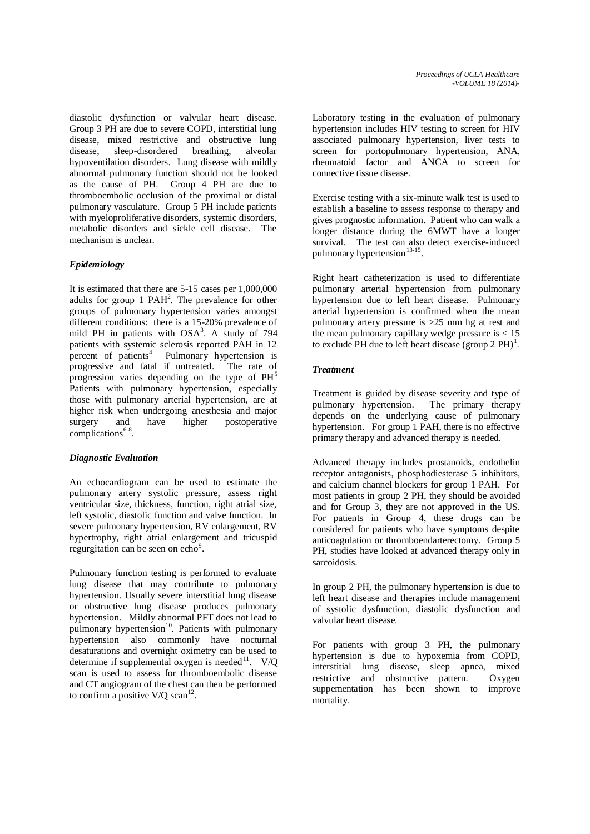diastolic dysfunction or valvular heart disease. Group 3 PH are due to severe COPD, interstitial lung disease, mixed restrictive and obstructive lung<br>disease. sleep-disordered breathing. alveolar disease, sleep-disordered breathing, alveolar hypoventilation disorders. Lung disease with mildly abnormal pulmonary function should not be looked as the cause of PH. Group 4 PH are due to thromboembolic occlusion of the proximal or distal pulmonary vasculature. Group 5 PH include patients with myeloproliferative disorders, systemic disorders, metabolic disorders and sickle cell disease. The mechanism is unclear.

# *Epidemiology*

It is estimated that there are 5-15 cases per 1,000,000 adults for group 1 PAH<sup>2</sup>. The prevalence for other groups of pulmonary hypertension varies amongst different conditions: there is a 15-20% prevalence of mild PH in patients with  $OSA<sup>3</sup>$ . A study of 794 patients with systemic sclerosis reported PAH in 12 percent of patients<sup>4</sup> Pulmonary hypertension is progressive and fatal if untreated. The rate of progression varies depending on the type of  $PH<sup>5</sup>$ Patients with pulmonary hypertension, especially those with pulmonary arterial hypertension, are at higher risk when undergoing anesthesia and major surgery and have higher postoperative complications<sup>6-8</sup>.

### *Diagnostic Evaluation*

An echocardiogram can be used to estimate the pulmonary artery systolic pressure, assess right ventricular size, thickness, function, right atrial size, left systolic, diastolic function and valve function. In severe pulmonary hypertension, RV enlargement, RV hypertrophy, right atrial enlargement and tricuspid regurgitation can be seen on echo<sup>9</sup>.

Pulmonary function testing is performed to evaluate lung disease that may contribute to pulmonary hypertension. Usually severe interstitial lung disease or obstructive lung disease produces pulmonary hypertension. Mildly abnormal PFT does not lead to pulmonary hypertension<sup>10</sup>. Patients with pulmonary hypertension also commonly have nocturnal desaturations and overnight oximetry can be used to determine if supplemental oxygen is needed<sup>11</sup>. V/Q scan is used to assess for thromboembolic disease and CT angiogram of the chest can then be performed to confirm a positive  $V/O$  scan<sup>12</sup>.

Laboratory testing in the evaluation of pulmonary hypertension includes HIV testing to screen for HIV associated pulmonary hypertension, liver tests to screen for portopulmonary hypertension, ANA, rheumatoid factor and ANCA to screen for connective tissue disease.

Exercise testing with a six-minute walk test is used to establish a baseline to assess response to therapy and gives prognostic information. Patient who can walk a longer distance during the 6MWT have a longer survival. The test can also detect exercise-induced pulmonary hypertension<sup>13-15</sup>.

Right heart catheterization is used to differentiate pulmonary arterial hypertension from pulmonary hypertension due to left heart disease. Pulmonary arterial hypertension is confirmed when the mean pulmonary artery pressure is  $>25$  mm hg at rest and the mean pulmonary capillary wedge pressure is  $< 15$ to exclude PH due to left heart disease (group  $2 PH$ )<sup>1</sup>.

# *Treatment*

Treatment is guided by disease severity and type of pulmonary hypertension. The primary therapy depends on the underlying cause of pulmonary hypertension. For group 1 PAH, there is no effective primary therapy and advanced therapy is needed.

Advanced therapy includes prostanoids, endothelin receptor antagonists, phosphodiesterase 5 inhibitors, and calcium channel blockers for group 1 PAH. For most patients in group 2 PH, they should be avoided and for Group 3, they are not approved in the US. For patients in Group 4, these drugs can be considered for patients who have symptoms despite anticoagulation or thromboendarterectomy. Group 5 PH, studies have looked at advanced therapy only in sarcoidosis.

In group 2 PH, the pulmonary hypertension is due to left heart disease and therapies include management of systolic dysfunction, diastolic dysfunction and valvular heart disease.

For patients with group 3 PH, the pulmonary hypertension is due to hypoxemia from COPD, interstitial lung disease, sleep apnea, mixed restrictive and obstructive pattern. Oxygen suppementation has been shown to improve mortality.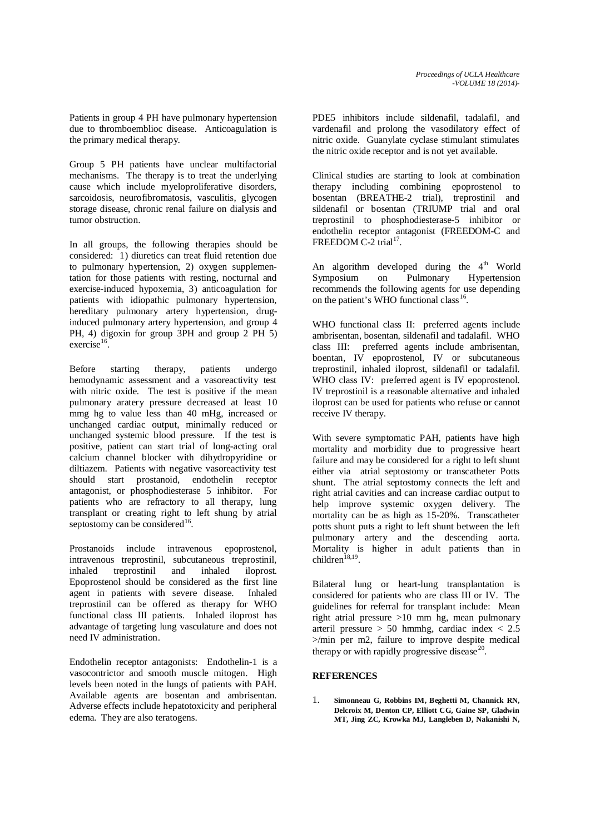Patients in group 4 PH have pulmonary hypertension due to thromboemblioc disease. Anticoagulation is the primary medical therapy.

Group 5 PH patients have unclear multifactorial mechanisms. The therapy is to treat the underlying cause which include myeloproliferative disorders, sarcoidosis, neurofibromatosis, vasculitis, glycogen storage disease, chronic renal failure on dialysis and tumor obstruction.

In all groups, the following therapies should be considered: 1) diuretics can treat fluid retention due to pulmonary hypertension, 2) oxygen supplementation for those patients with resting, nocturnal and exercise-induced hypoxemia, 3) anticoagulation for patients with idiopathic pulmonary hypertension, hereditary pulmonary artery hypertension, druginduced pulmonary artery hypertension, and group 4 PH, 4) digoxin for group 3PH and group 2 PH 5)  $exercise<sup>16</sup>$ 

Before starting therapy, patients undergo hemodynamic assessment and a vasoreactivity test with nitric oxide. The test is positive if the mean pulmonary aratery pressure decreased at least 10 mmg hg to value less than 40 mHg, increased or unchanged cardiac output, minimally reduced or unchanged systemic blood pressure. If the test is positive, patient can start trial of long-acting oral calcium channel blocker with dihydropyridine or diltiazem. Patients with negative vasoreactivity test should start prostanoid, endothelin receptor antagonist, or phosphodiesterase 5 inhibitor. For patients who are refractory to all therapy, lung transplant or creating right to left shung by atrial septostomy can be considered<sup>16</sup>.

Prostanoids include intravenous epoprostenol, intravenous treprostinil, subcutaneous treprostinil, inhaled treprostinil and inhaled iloprost. Epoprostenol should be considered as the first line agent in patients with severe disease. Inhaled treprostinil can be offered as therapy for WHO functional class III patients. Inhaled iloprost has advantage of targeting lung vasculature and does not need IV administration.

Endothelin receptor antagonists: Endothelin-1 is a vasocontrictor and smooth muscle mitogen. High levels been noted in the lungs of patients with PAH. Available agents are bosentan and ambrisentan. Adverse effects include hepatotoxicity and peripheral edema. They are also teratogens.

PDE5 inhibitors include sildenafil, tadalafil, and vardenafil and prolong the vasodilatory effect of nitric oxide. Guanylate cyclase stimulant stimulates the nitric oxide receptor and is not yet available.

Clinical studies are starting to look at combination therapy including combining epoprostenol to bosentan (BREATHE-2 trial), treprostinil and sildenafil or bosentan (TRIUMP trial and oral treprostinil to phosphodiesterase-5 inhibitor or endothelin receptor antagonist (FREEDOM-C and FREEDOM C-2 trial<sup>17</sup>.

An algorithm developed during the  $4<sup>th</sup>$  World Symposium on Pulmonary Hypertension recommends the following agents for use depending on the patient's WHO functional class<sup>16</sup>.

WHO functional class II: preferred agents include ambrisentan, bosentan, sildenafil and tadalafil. WHO class III: preferred agents include ambrisentan, boentan, IV epoprostenol, IV or subcutaneous treprostinil, inhaled iloprost, sildenafil or tadalafil. WHO class IV: preferred agent is IV epoprostenol. IV treprostinil is a reasonable alternative and inhaled iloprost can be used for patients who refuse or cannot receive IV therapy.

With severe symptomatic PAH, patients have high mortality and morbidity due to progressive heart failure and may be considered for a right to left shunt either via atrial septostomy or transcatheter Potts shunt. The atrial septostomy connects the left and right atrial cavities and can increase cardiac output to help improve systemic oxygen delivery. The mortality can be as high as 15-20%. Transcatheter potts shunt puts a right to left shunt between the left pulmonary artery and the descending aorta. Mortality is higher in adult patients than in  $children^{18,19}$ 

Bilateral lung or heart-lung transplantation is considered for patients who are class III or IV. The guidelines for referral for transplant include: Mean right atrial pressure >10 mm hg, mean pulmonary arteril pressure  $> 50$  hmmhg, cardiac index  $< 2.5$  $>$ /min per m2, failure to improve despite medical therapy or with rapidly progressive disease<sup>20</sup>

### **REFERENCES**

1. **Simonneau G, Robbins IM, Beghetti M, Channick RN, Delcroix M, Denton CP, Elliott CG, Gaine SP, Gladwin MT, Jing ZC, Krowka MJ, Langleben D, Nakanishi N,**